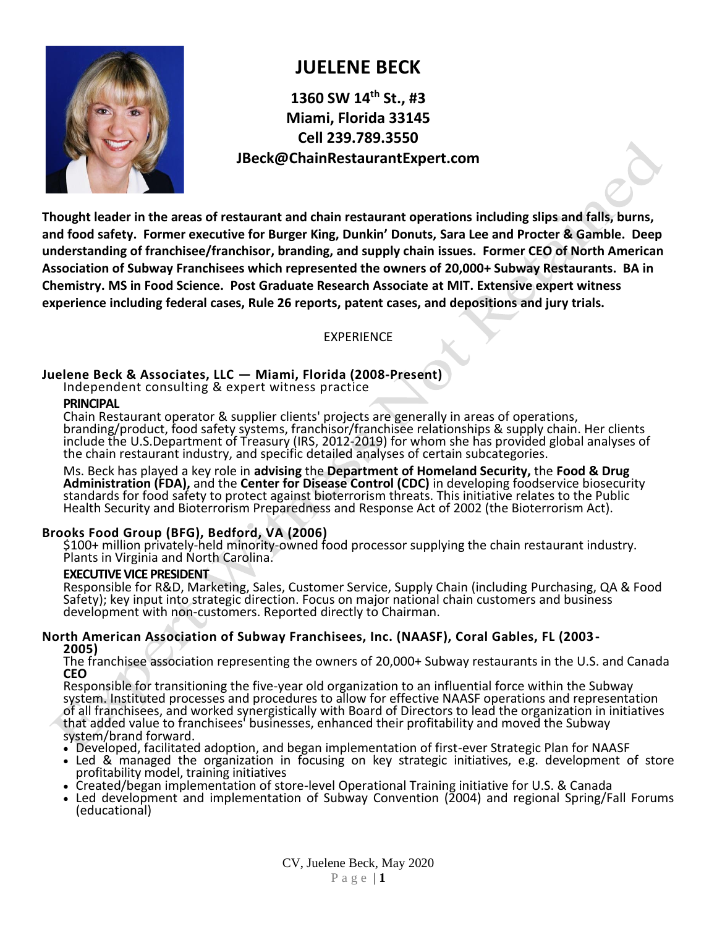

# **JUELENE BECK**

**1360 SW 14th St., #3 Miami, Florida 33145 Cell 239.789.3550 JBeck@ChainRestaurantExpert.com**

**Thought leader in the areas of restaurant and chain restaurant operations including slips and falls, burns, and food safety. Former executive for Burger King, Dunkin' Donuts, Sara Lee and Procter & Gamble. Deep understanding of franchisee/franchisor, branding, and supply chain issues. Former CEO of North American Association of Subway Franchisees which represented the owners of 20,000+ Subway Restaurants. BA in Chemistry. MS in Food Science. Post Graduate Research Associate at MIT. Extensive expert witness experience including federal cases, Rule 26 reports, patent cases, and depositions and jury trials.**

EXPERIENCE

# **Juelene Beck & Associates, LLC — Miami, Florida (2008-Present)**

Independent consulting & expert witness practice

#### **PRINCIPAL**

Chain Restaurant operator & supplier clients' projects are generally in areas of operations, branding/product, food safety systems, franchisor/franchisee relationships & supply chain. Her clients include the U.S.Department of Treasury (IRS, 2012-2019) for whom she has provided global analyses of the chain restaurant industry, and specific detailed analyses of certain subcategories.

Ms. Beck has played a key role in **advising** the **Department of Homeland Security,** the **Food & Drug Administration (FDA),** and the **Center for Disease Control (CDC)** in developing foodservice biosecurity standards for food safety to protect against bioterrorism threats. This initiative relates to the Public Health Security and Bioterrorism Preparedness and Response Act of 2002 (the Bioterrorism Act).

# **Brooks Food Group (BFG), Bedford, VA (2006)**

\$100+ million privately-held minority-owned food processor supplying the chain restaurant industry. Plants in Virginia and North Carolina.

## **EXECUTIVE VICE PRESIDENT**

Responsible for R&D, Marketing, Sales, Customer Service, Supply Chain (including Purchasing, QA & Food Safety); key input into strategic direction. Focus on major national chain customers and business development with non-customers. Reported directly to Chairman.

#### **North American Association of Subway Franchisees, Inc. (NAASF), Coral Gables, FL (2003- 2005)**

The franchisee association representing the owners of 20,000+ Subway restaurants in the U.S. and Canada **CEO**

Responsible for transitioning the five-year old organization to an influential force within the Subway system. Instituted processes and procedures to allow for effective NAASF operations and representation of all franchisees, and worked synergistically with Board of Directors to lead the organization in initiatives that added value to franchisees' businesses, enhanced their profitability and moved the Subway system/brand forward.

- Developed, facilitated adoption, and began implementation of first-ever Strategic Plan for NAASF
- Led & managed the organization in focusing on key strategic initiatives, e.g. development of store profitability model, training initiatives
- Created/began implementation of store-level Operational Training initiative for U.S. & Canada
- Led development and implementation of Subway Convention (2004) and regional Spring/Fall Forums (educational)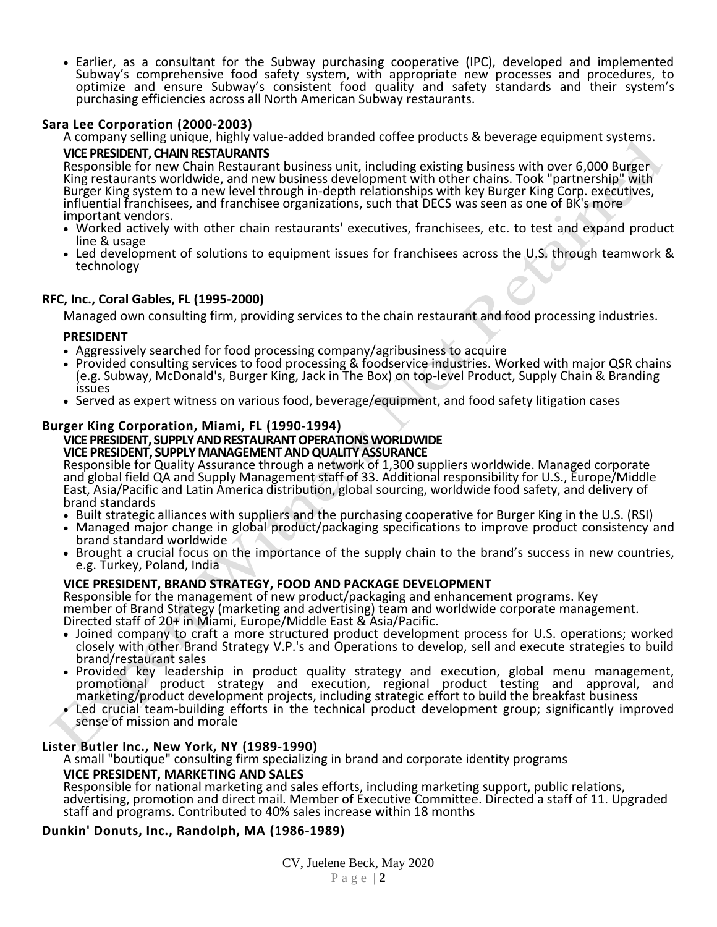• Earlier, as a consultant for the Subway purchasing cooperative (IPC), developed and implemented Subway's comprehensive food safety system, with appropriate new processes and procedures, to optimize and ensure Subway's consistent food quality and safety standards and their system's purchasing efficiencies across all North American Subway restaurants.

## **Sara Lee Corporation (2000-2003)**

A company selling unique, highly value-added branded coffee products & beverage equipment systems.

#### **VICE PRESIDENT, CHAIN RESTAURANTS**

Responsible for new Chain Restaurant business unit, including existing business with over 6,000 Burger King restaurants worldwide, and new business development with other chains. Took "partnership" with Burger King system to a new level through in-depth relationships with key Burger King Corp. executives, influential franchisees, and franchisee organizations, such that DECS was seen as one of BK's more important vendors.

- Worked actively with other chain restaurants' executives, franchisees, etc. to test and expand product line & usage
- Led development of solutions to equipment issues for franchisees across the U.S. through teamwork & technology

## **RFC, Inc., Coral Gables, FL (1995-2000)**

Managed own consulting firm, providing services to the chain restaurant and food processing industries.

#### **PRESIDENT**

- Aggressively searched for food processing company/agribusiness to acquire
- Provided consulting services to food processing & foodservice industries. Worked with major QSR chains (e.g. Subway, McDonald's, Burger King, Jack in The Box) on top-level Product, Supply Chain & Branding issues
- Served as expert witness on various food, beverage/equipment, and food safety litigation cases

# **Burger King Corporation, Miami, FL (1990-1994)**

#### **VICE PRESIDENT, SUPPLY AND RESTAURANT OPERATIONS WORLDWIDE VICE PRESIDENT, SUPPLY MANAGEMENT AND QUALITY ASSURANCE**

Responsible for Quality Assurance through a network of 1,300 suppliers worldwide. Managed corporate and global field QA and Supply Management staff of 33. Additional responsibility for U.S., Europe/Middle East, Asia/Pacific and Latin America distribution, global sourcing, worldwide food safety, and delivery of brand standards

- Built strategic alliances with suppliers and the purchasing cooperative for Burger King in the U.S. (RSI)
- Managed major change in global product/packaging specifications to improve product consistency and brand standard worldwide
- Brought a crucial focus on the importance of the supply chain to the brand's success in new countries, e.g. Turkey, Poland, India

#### **VICE PRESIDENT, BRAND STRATEGY, FOOD AND PACKAGE DEVELOPMENT**

Responsible for the management of new product/packaging and enhancement programs. Key member of Brand Strategy (marketing and advertising) team and worldwide corporate management. Directed staff of 20+ in Miami, Europe/Middle East & Asia/Pacific.

- Joined company to craft a more structured product development process for U.S. operations; worked closely with other Brand Strategy V.P.'s and Operations to develop, sell and execute strategies to build brand/restaurant sales
- Provided key leadership in product quality strategy and execution, global menu management, promotional product strategy and execution, regional product testing and approval, and marketing/product development projects, including strategic effort to build the breakfast business
- Led crucial team-building efforts in the technical product development group; significantly improved sense of mission and morale

#### **Lister Butler Inc., New York, NY (1989-1990)**

A small "boutique" consulting firm specializing in brand and corporate identity programs

#### **VICE PRESIDENT, MARKETING AND SALES**

Responsible for national marketing and sales efforts, including marketing support, public relations, advertising, promotion and direct mail. Member of Executive Committee. Directed a staff of 11. Upgraded staff and programs. Contributed to 40% sales increase within 18 months

# **Dunkin' Donuts, Inc., Randolph, MA (1986-1989)**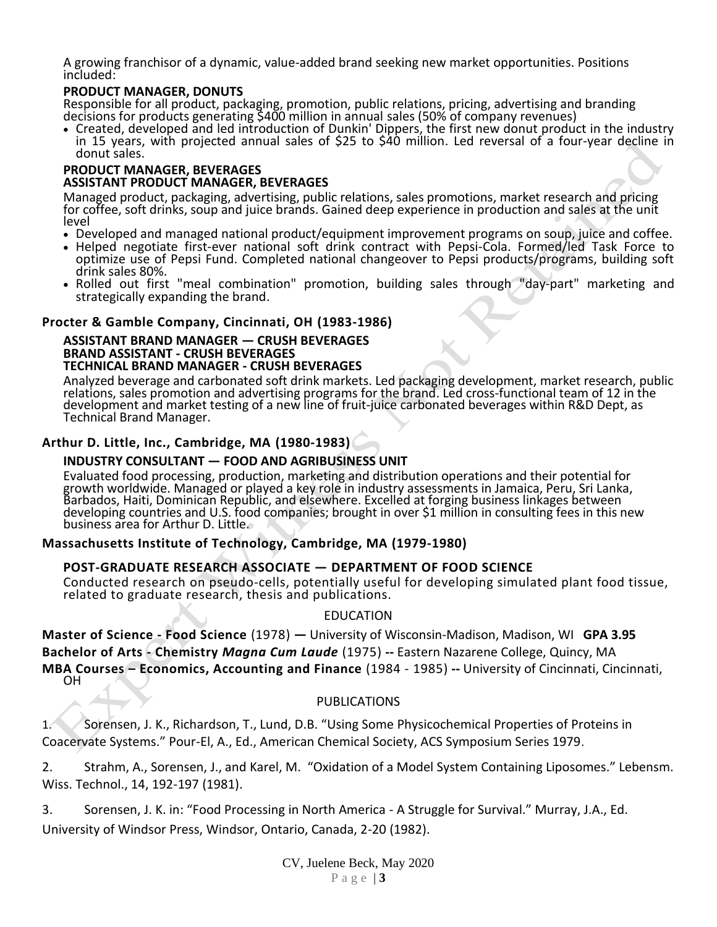A growing franchisor of a dynamic, value-added brand seeking new market opportunities. Positions included:

#### **PRODUCT MANAGER, DONUTS**

Responsible for all product, packaging, promotion, public relations, pricing, advertising and branding decisions for products generating \$400 million in annual sales (50% of company revenues)

• Created, developed and led introduction of Dunkin' Dippers, the first new donut product in the industry in 15 years, with projected annual sales of \$25 to \$40 million. Led reversal of a four-year decline in donut sales.

#### **PRODUCT MANAGER, BEVERAGES ASSISTANT PRODUCT MANAGER, BEVERAGES**

Managed product, packaging, advertising, public relations, sales promotions, market research and pricing for coffee, soft drinks, soup and juice brands. Gained deep experience in production and sales at the unit level

- Developed and managed national product/equipment improvement programs on soup, juice and coffee.
- Helped negotiate first-ever national soft drink contract with Pepsi-Cola. Formed/led Task Force to optimize use of Pepsi Fund. Completed national changeover to Pepsi products/programs, building soft drink sales 80%.
- Rolled out first "meal combination" promotion, building sales through "day-part" marketing and strategically expanding the brand.

#### **Procter & Gamble Company, Cincinnati, OH (1983-1986)**

#### **ASSISTANT BRAND MANAGER — CRUSH BEVERAGES BRAND ASSISTANT - CRUSH BEVERAGES TECHNICAL BRAND MANAGER - CRUSH BEVERAGES**

Analyzed beverage and carbonated soft drink markets. Led packaging development, market research, public relations, sales promotion and advertising programs for the brand. Led cross-functional team of 12 in the development and market testing of a new line of fruit-juice carbonated beverages within R&D Dept, as Technical Brand Manager.

# **Arthur D. Little, Inc., Cambridge, MA (1980-1983)**

#### **INDUSTRY CONSULTANT — FOOD AND AGRIBUSINESS UNIT**

Evaluated food processing, production, marketing and distribution operations and their potential for growth worldwide. Managed or played a key role in industry assessments in Jamaica, Peru, Sri Lanka, Barbados, Haiti, Dominican Republic, and elsewhere. Excelled at forging business linkages between developing countries and U.S. food companies; brought in over \$1 million in consulting fees in this new business area for Arthur D. Little.

#### **Massachusetts Institute of Technology, Cambridge, MA (1979-1980)**

#### **POST-GRADUATE RESEARCH ASSOCIATE — DEPARTMENT OF FOOD SCIENCE**

Conducted research on pseudo-cells, potentially useful for developing simulated plant food tissue, related to graduate research, thesis and publications.

#### EDUCATION

**Master of Science - Food Science** (1978) **—** University of Wisconsin-Madison, Madison, WI **GPA 3.95 Bachelor of Arts - Chemistry** *Magna Cum Laude* (1975) **--** Eastern Nazarene College, Quincy, MA **MBA Courses – Economics, Accounting and Finance** (1984 - 1985) **--** University of Cincinnati, Cincinnati, OH

## PUBLICATIONS

1. Sorensen, J. K., Richardson, T., Lund, D.B. "Using Some Physicochemical Properties of Proteins in Coacervate Systems." Pour-El, A., Ed., American Chemical Society, ACS Symposium Series 1979.

2. Strahm, A., Sorensen, J., and Karel, M. "Oxidation of a Model System Containing Liposomes." Lebensm. Wiss. Technol., 14, 192-197 (1981).

3. Sorensen, J. K. in: "Food Processing in North America - A Struggle for Survival." Murray, J.A., Ed. University of Windsor Press, Windsor, Ontario, Canada, 2-20 (1982).